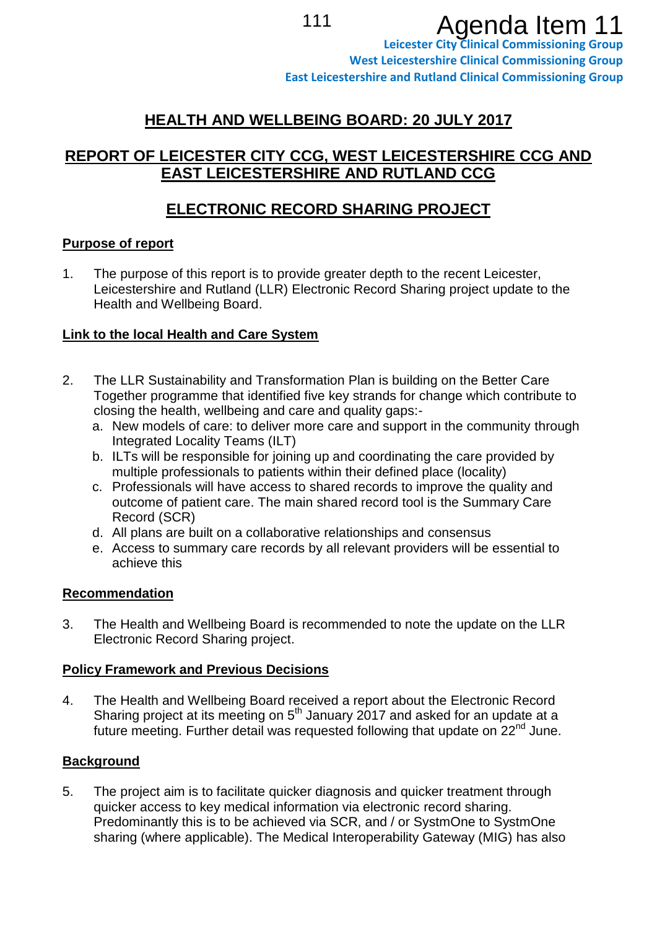# 111 **Agenda Item 11**

# **HEALTH AND WELLBEING BOARD: 20 JULY 2017**

# **REPORT OF LEICESTER CITY CCG, WEST LEICESTERSHIRE CCG AND EAST LEICESTERSHIRE AND RUTLAND CCG**

# **ELECTRONIC RECORD SHARING PROJECT**

## **Purpose of report**

1. The purpose of this report is to provide greater depth to the recent Leicester, Leicestershire and Rutland (LLR) Electronic Record Sharing project update to the Health and Wellbeing Board.

# **Link to the local Health and Care System**

- 2. The LLR Sustainability and Transformation Plan is building on the Better Care Together programme that identified five key strands for change which contribute to closing the health, wellbeing and care and quality gaps:
	- a. New models of care: to deliver more care and support in the community through Integrated Locality Teams (ILT)
	- b. ILTs will be responsible for joining up and coordinating the care provided by multiple professionals to patients within their defined place (locality)
	- c. Professionals will have access to shared records to improve the quality and outcome of patient care. The main shared record tool is the Summary Care Record (SCR)
	- d. All plans are built on a collaborative relationships and consensus
	- e. Access to summary care records by all relevant providers will be essential to achieve this

## **Recommendation**

3. The Health and Wellbeing Board is recommended to note the update on the LLR Electronic Record Sharing project.

## **Policy Framework and Previous Decisions**

4. The Health and Wellbeing Board received a report about the Electronic Record Sharing project at its meeting on  $5<sup>th</sup>$  January 2017 and asked for an update at a future meeting. Further detail was requested following that update on  $22<sup>nd</sup>$  June.

# **Background**

5. The project aim is to facilitate quicker diagnosis and quicker treatment through quicker access to key medical information via electronic record sharing. Predominantly this is to be achieved via SCR, and / or SystmOne to SystmOne sharing (where applicable). The Medical Interoperability Gateway (MIG) has also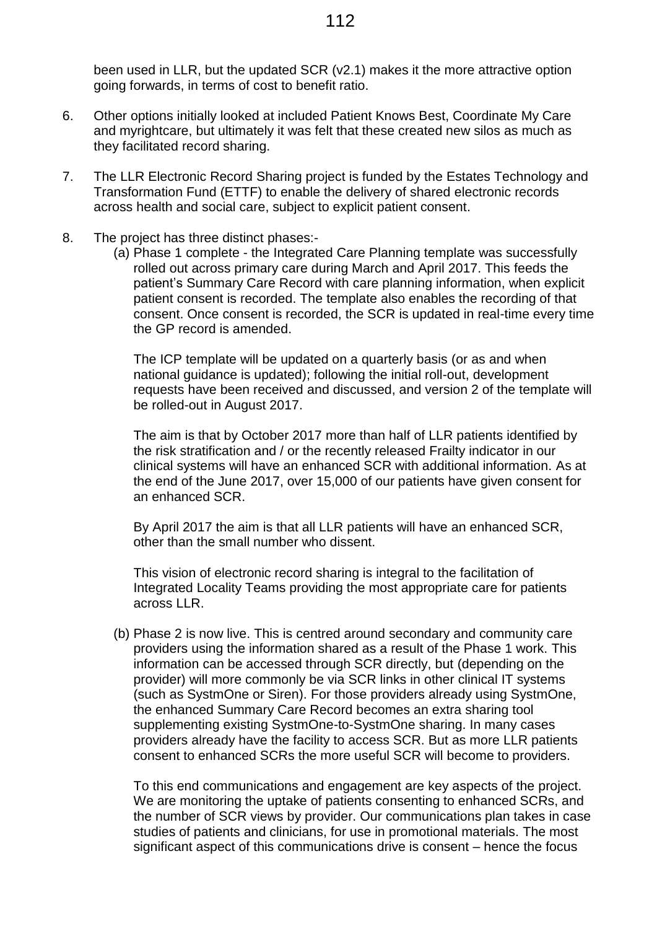been used in LLR, but the updated SCR (v2.1) makes it the more attractive option going forwards, in terms of cost to benefit ratio.

- 6. Other options initially looked at included Patient Knows Best, Coordinate My Care and myrightcare, but ultimately it was felt that these created new silos as much as they facilitated record sharing.
- 7. The LLR Electronic Record Sharing project is funded by the Estates Technology and Transformation Fund (ETTF) to enable the delivery of shared electronic records across health and social care, subject to explicit patient consent.
- 8. The project has three distinct phases:-
	- (a) Phase 1 complete the Integrated Care Planning template was successfully rolled out across primary care during March and April 2017. This feeds the patient's Summary Care Record with care planning information, when explicit patient consent is recorded. The template also enables the recording of that consent. Once consent is recorded, the SCR is updated in real-time every time the GP record is amended.

The ICP template will be updated on a quarterly basis (or as and when national guidance is updated); following the initial roll-out, development requests have been received and discussed, and version 2 of the template will be rolled-out in August 2017.

The aim is that by October 2017 more than half of LLR patients identified by the risk stratification and / or the recently released Frailty indicator in our clinical systems will have an enhanced SCR with additional information. As at the end of the June 2017, over 15,000 of our patients have given consent for an enhanced SCR.

By April 2017 the aim is that all LLR patients will have an enhanced SCR, other than the small number who dissent.

This vision of electronic record sharing is integral to the facilitation of Integrated Locality Teams providing the most appropriate care for patients across LLR.

(b) Phase 2 is now live. This is centred around secondary and community care providers using the information shared as a result of the Phase 1 work. This information can be accessed through SCR directly, but (depending on the provider) will more commonly be via SCR links in other clinical IT systems (such as SystmOne or Siren). For those providers already using SystmOne, the enhanced Summary Care Record becomes an extra sharing tool supplementing existing SystmOne-to-SystmOne sharing. In many cases providers already have the facility to access SCR. But as more LLR patients consent to enhanced SCRs the more useful SCR will become to providers.

To this end communications and engagement are key aspects of the project. We are monitoring the uptake of patients consenting to enhanced SCRs, and the number of SCR views by provider. Our communications plan takes in case studies of patients and clinicians, for use in promotional materials. The most significant aspect of this communications drive is consent – hence the focus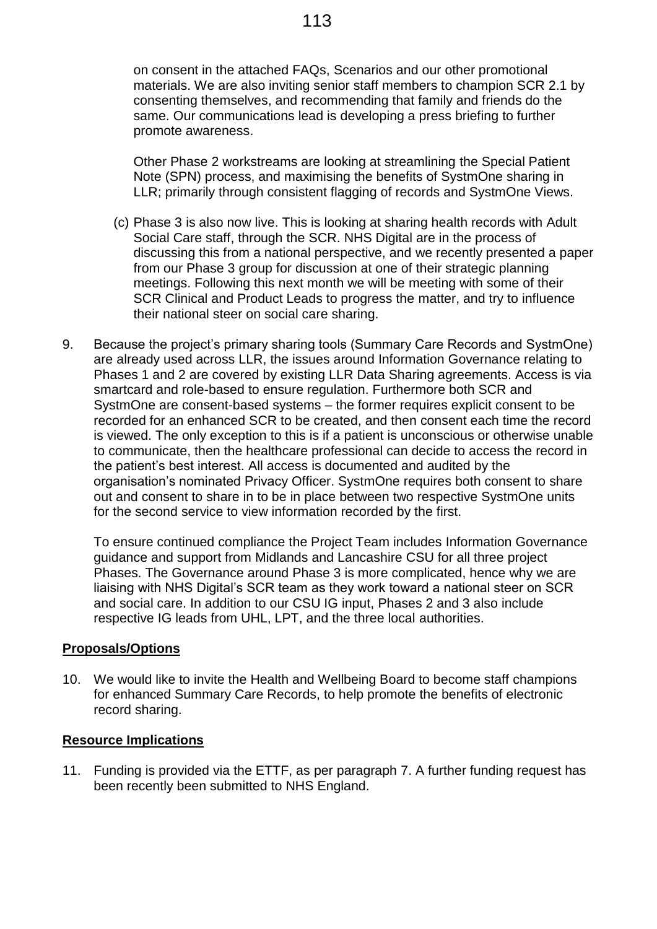on consent in the attached FAQs, Scenarios and our other promotional materials. We are also inviting senior staff members to champion SCR 2.1 by consenting themselves, and recommending that family and friends do the same. Our communications lead is developing a press briefing to further promote awareness.

Other Phase 2 workstreams are looking at streamlining the Special Patient Note (SPN) process, and maximising the benefits of SystmOne sharing in LLR; primarily through consistent flagging of records and SystmOne Views.

- (c) Phase 3 is also now live. This is looking at sharing health records with Adult Social Care staff, through the SCR. NHS Digital are in the process of discussing this from a national perspective, and we recently presented a paper from our Phase 3 group for discussion at one of their strategic planning meetings. Following this next month we will be meeting with some of their SCR Clinical and Product Leads to progress the matter, and try to influence their national steer on social care sharing.
- 9. Because the project's primary sharing tools (Summary Care Records and SystmOne) are already used across LLR, the issues around Information Governance relating to Phases 1 and 2 are covered by existing LLR Data Sharing agreements. Access is via smartcard and role-based to ensure regulation. Furthermore both SCR and SystmOne are consent-based systems – the former requires explicit consent to be recorded for an enhanced SCR to be created, and then consent each time the record is viewed. The only exception to this is if a patient is unconscious or otherwise unable to communicate, then the healthcare professional can decide to access the record in the patient's best interest. All access is documented and audited by the organisation's nominated Privacy Officer. SystmOne requires both consent to share out and consent to share in to be in place between two respective SystmOne units for the second service to view information recorded by the first.

To ensure continued compliance the Project Team includes Information Governance guidance and support from Midlands and Lancashire CSU for all three project Phases. The Governance around Phase 3 is more complicated, hence why we are liaising with NHS Digital's SCR team as they work toward a national steer on SCR and social care. In addition to our CSU IG input, Phases 2 and 3 also include respective IG leads from UHL, LPT, and the three local authorities.

#### **Proposals/Options**

10. We would like to invite the Health and Wellbeing Board to become staff champions for enhanced Summary Care Records, to help promote the benefits of electronic record sharing.

#### **Resource Implications**

11. Funding is provided via the ETTF, as per paragraph 7. A further funding request has been recently been submitted to NHS England.